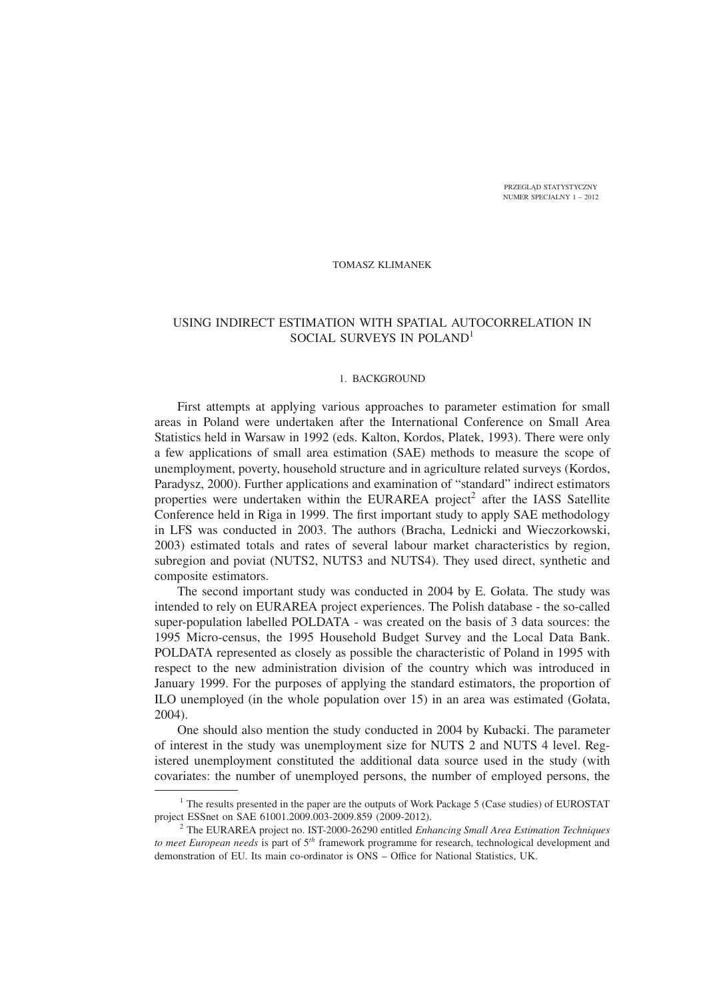PRZEGLĄD STATYSTYCZNY NUMER SPECJALNY 1 – 2012

### TOMASZ KLIMANEK

# USING INDIRECT ESTIMATION WITH SPATIAL AUTOCORRELATION IN SOCIAL SURVEYS IN POLAND<sup>1</sup>

#### 1. BACKGROUND

First attempts at applying various approaches to parameter estimation for small areas in Poland were undertaken after the International Conference on Small Area Statistics held in Warsaw in 1992 (eds. Kalton, Kordos, Platek, 1993). There were only a few applications of small area estimation (SAE) methods to measure the scope of unemployment, poverty, household structure and in agriculture related surveys (Kordos, Paradysz, 2000). Further applications and examination of "standard" indirect estimators properties were undertaken within the EURAREA project<sup>2</sup> after the IASS Satellite Conference held in Riga in 1999. The first important study to apply SAE methodology in LFS was conducted in 2003. The authors (Bracha, Lednicki and Wieczorkowski, 2003) estimated totals and rates of several labour market characteristics by region, subregion and poviat (NUTS2, NUTS3 and NUTS4). They used direct, synthetic and composite estimators.

The second important study was conducted in 2004 by E. Gołata. The study was intended to rely on EURAREA project experiences. The Polish database - the so-called super-population labelled POLDATA - was created on the basis of 3 data sources: the 1995 Micro-census, the 1995 Household Budget Survey and the Local Data Bank. POLDATA represented as closely as possible the characteristic of Poland in 1995 with respect to the new administration division of the country which was introduced in January 1999. For the purposes of applying the standard estimators, the proportion of ILO unemployed (in the whole population over 15) in an area was estimated (Gołata, 2004).

One should also mention the study conducted in 2004 by Kubacki. The parameter of interest in the study was unemployment size for NUTS 2 and NUTS 4 level. Registered unemployment constituted the additional data source used in the study (with covariates: the number of unemployed persons, the number of employed persons, the

 $<sup>1</sup>$  The results presented in the paper are the outputs of Work Package 5 (Case studies) of EUROSTAT</sup> project ESSnet on SAE 61001.2009.003-2009.859 (2009-2012).

<sup>2</sup> The EURAREA project no. IST-2000-26290 entitled *Enhancing Small Area Estimation Techniques to meet European needs* is part of 5*th* framework programme for research, technological development and demonstration of EU. Its main co-ordinator is ONS – Office for National Statistics, UK.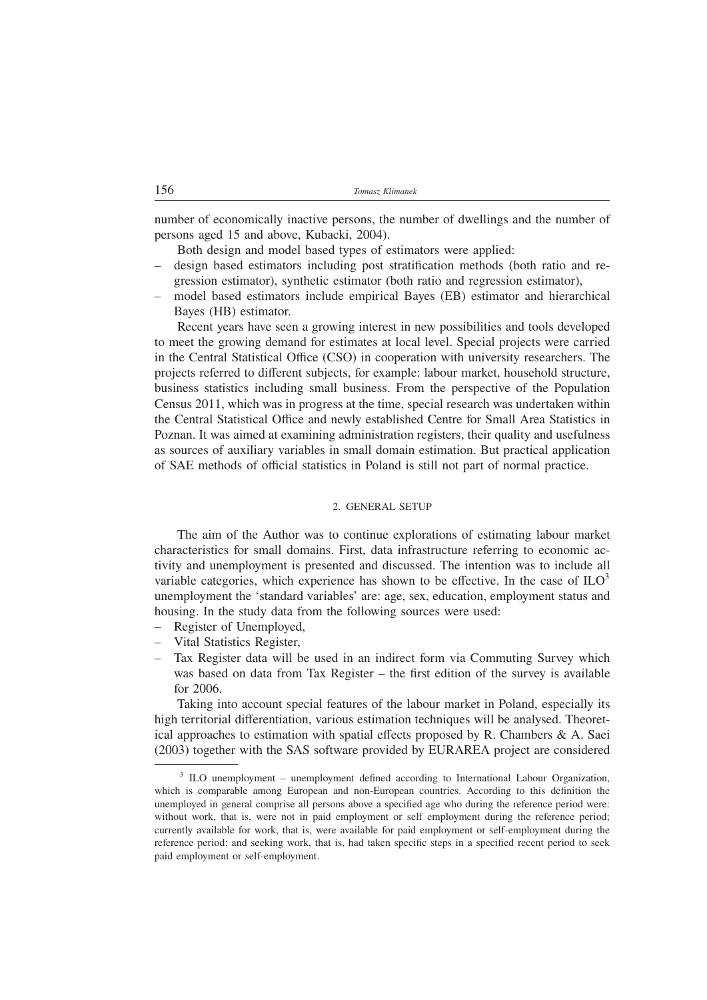number of economically inactive persons, the number of dwellings and the number of persons aged 15 and above, Kubacki, 2004).

Both design and model based types of estimators were applied:

- design based estimators including post stratification methods (both ratio and regression estimator), synthetic estimator (both ratio and regression estimator),
- model based estimators include empirical Bayes (EB) estimator and hierarchical Bayes (HB) estimator.

Recent years have seen a growing interest in new possibilities and tools developed to meet the growing demand for estimates at local level. Special projects were carried in the Central Statistical Office (CSO) in cooperation with university researchers. The projects referred to different subjects, for example: labour market, household structure, business statistics including small business. From the perspective of the Population Census 2011, which was in progress at the time, special research was undertaken within the Central Statistical Office and newly established Centre for Small Area Statistics in Poznan. It was aimed at examining administration registers, their quality and usefulness as sources of auxiliary variables in small domain estimation. But practical application of SAE methods of official statistics in Poland is still not part of normal practice.

#### 2. GENERAL SETUP

The aim of the Author was to continue explorations of estimating labour market characteristics for small domains. First, data infrastructure referring to economic activity and unemployment is presented and discussed. The intention was to include all variable categories, which experience has shown to be effective. In the case of  $ILO<sup>3</sup>$ unemployment the 'standard variables' are: age, sex, education, employment status and housing. In the study data from the following sources were used:

- Register of Unemployed,
- Vital Statistics Register,
- Tax Register data will be used in an indirect form via Commuting Survey which was based on data from Tax Register – the first edition of the survey is available for 2006.

Taking into account special features of the labour market in Poland, especially its high territorial differentiation, various estimation techniques will be analysed. Theoretical approaches to estimation with spatial effects proposed by R. Chambers  $\&\,A$ . Saei (2003) together with the SAS software provided by EURAREA project are considered

<sup>&</sup>lt;sup>3</sup> ILO unemployment – unemployment defined according to International Labour Organization, which is comparable among European and non-European countries. According to this definition the unemployed in general comprise all persons above a specified age who during the reference period were: without work, that is, were not in paid employment or self employment during the reference period; currently available for work, that is, were available for paid employment or self-employment during the reference period; and seeking work, that is, had taken specific steps in a specified recent period to seek paid employment or self-employment.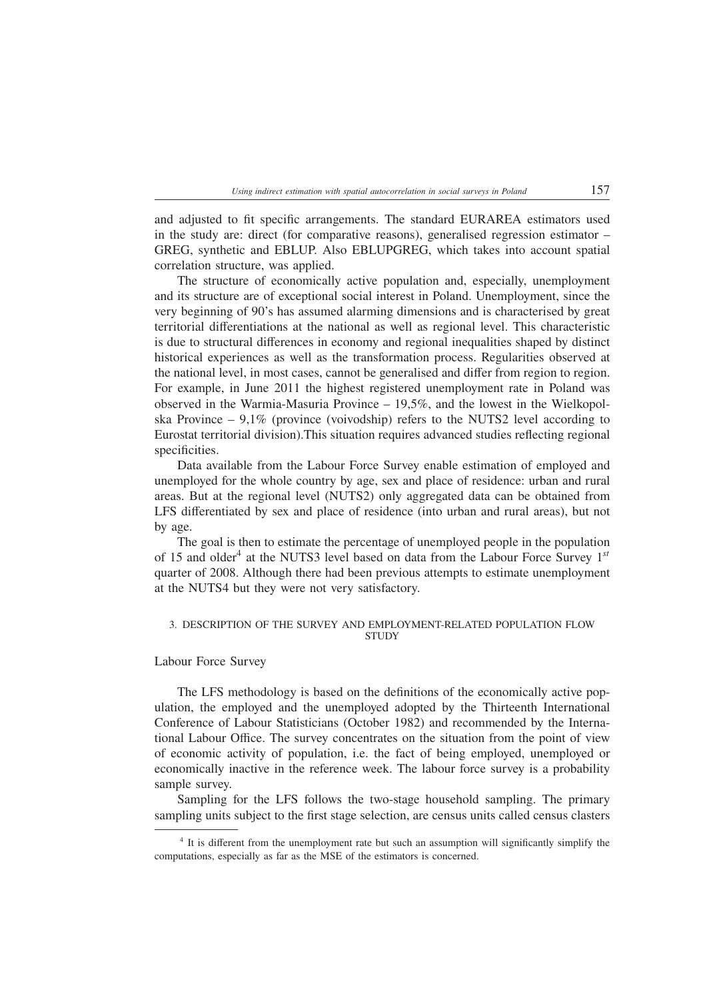and adjusted to fit specific arrangements. The standard EURAREA estimators used in the study are: direct (for comparative reasons), generalised regression estimator – GREG, synthetic and EBLUP. Also EBLUPGREG, which takes into account spatial correlation structure, was applied.

The structure of economically active population and, especially, unemployment and its structure are of exceptional social interest in Poland. Unemployment, since the very beginning of 90's has assumed alarming dimensions and is characterised by great territorial differentiations at the national as well as regional level. This characteristic is due to structural differences in economy and regional inequalities shaped by distinct historical experiences as well as the transformation process. Regularities observed at the national level, in most cases, cannot be generalised and differ from region to region. For example, in June 2011 the highest registered unemployment rate in Poland was observed in the Warmia-Masuria Province – 19,5%, and the lowest in the Wielkopolska Province –  $9.1\%$  (province (voivodship) refers to the NUTS2 level according to Eurostat territorial division).This situation requires advanced studies reflecting regional specificities.

Data available from the Labour Force Survey enable estimation of employed and unemployed for the whole country by age, sex and place of residence: urban and rural areas. But at the regional level (NUTS2) only aggregated data can be obtained from LFS differentiated by sex and place of residence (into urban and rural areas), but not by age.

The goal is then to estimate the percentage of unemployed people in the population of 15 and older<sup>4</sup> at the NUTS3 level based on data from the Labour Force Survey  $1^{st}$ quarter of 2008. Although there had been previous attempts to estimate unemployment at the NUTS4 but they were not very satisfactory.

### 3. DESCRIPTION OF THE SURVEY AND EMPLOYMENT-RELATED POPULATION FLOW **STUDY**

Labour Force Survey

The LFS methodology is based on the definitions of the economically active population, the employed and the unemployed adopted by the Thirteenth International Conference of Labour Statisticians (October 1982) and recommended by the International Labour Office. The survey concentrates on the situation from the point of view of economic activity of population, i.e. the fact of being employed, unemployed or economically inactive in the reference week. The labour force survey is a probability sample survey.

Sampling for the LFS follows the two-stage household sampling. The primary sampling units subject to the first stage selection, are census units called census clasters

<sup>&</sup>lt;sup>4</sup> It is different from the unemployment rate but such an assumption will significantly simplify the computations, especially as far as the MSE of the estimators is concerned.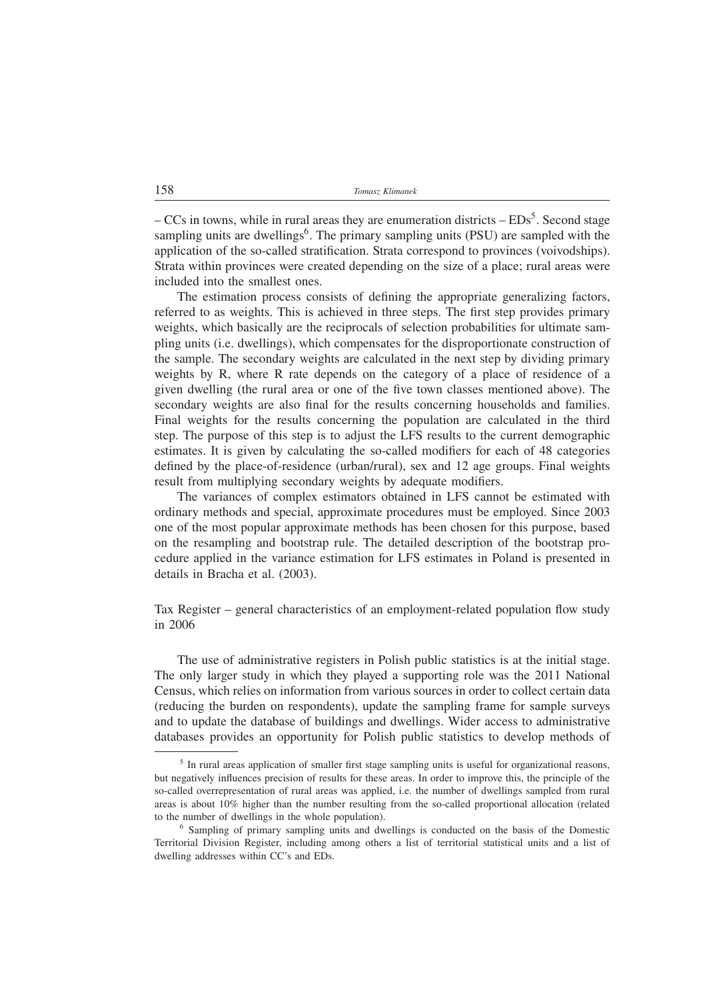$-CCs$  in towns, while in rural areas they are enumeration districts  $-EDs^5$ . Second stage sampling units are dwellings<sup>6</sup>. The primary sampling units (PSU) are sampled with the application of the so-called stratification. Strata correspond to provinces (voivodships). Strata within provinces were created depending on the size of a place; rural areas were included into the smallest ones.

The estimation process consists of defining the appropriate generalizing factors, referred to as weights. This is achieved in three steps. The first step provides primary weights, which basically are the reciprocals of selection probabilities for ultimate sampling units (i.e. dwellings), which compensates for the disproportionate construction of the sample. The secondary weights are calculated in the next step by dividing primary weights by R, where R rate depends on the category of a place of residence of a given dwelling (the rural area or one of the five town classes mentioned above). The secondary weights are also final for the results concerning households and families. Final weights for the results concerning the population are calculated in the third step. The purpose of this step is to adjust the LFS results to the current demographic estimates. It is given by calculating the so-called modifiers for each of 48 categories defined by the place-of-residence (urban/rural), sex and 12 age groups. Final weights result from multiplying secondary weights by adequate modifiers.

The variances of complex estimators obtained in LFS cannot be estimated with ordinary methods and special, approximate procedures must be employed. Since 2003 one of the most popular approximate methods has been chosen for this purpose, based on the resampling and bootstrap rule. The detailed description of the bootstrap procedure applied in the variance estimation for LFS estimates in Poland is presented in details in Bracha et al. (2003).

Tax Register – general characteristics of an employment-related population flow study in 2006

The use of administrative registers in Polish public statistics is at the initial stage. The only larger study in which they played a supporting role was the 2011 National Census, which relies on information from various sources in order to collect certain data (reducing the burden on respondents), update the sampling frame for sample surveys and to update the database of buildings and dwellings. Wider access to administrative databases provides an opportunity for Polish public statistics to develop methods of

<sup>&</sup>lt;sup>5</sup> In rural areas application of smaller first stage sampling units is useful for organizational reasons, but negatively influences precision of results for these areas. In order to improve this, the principle of the so-called overrepresentation of rural areas was applied, i.e. the number of dwellings sampled from rural areas is about 10% higher than the number resulting from the so-called proportional allocation (related to the number of dwellings in the whole population).

 $6$  Sampling of primary sampling units and dwellings is conducted on the basis of the Domestic Territorial Division Register, including among others a list of territorial statistical units and a list of dwelling addresses within CC's and EDs.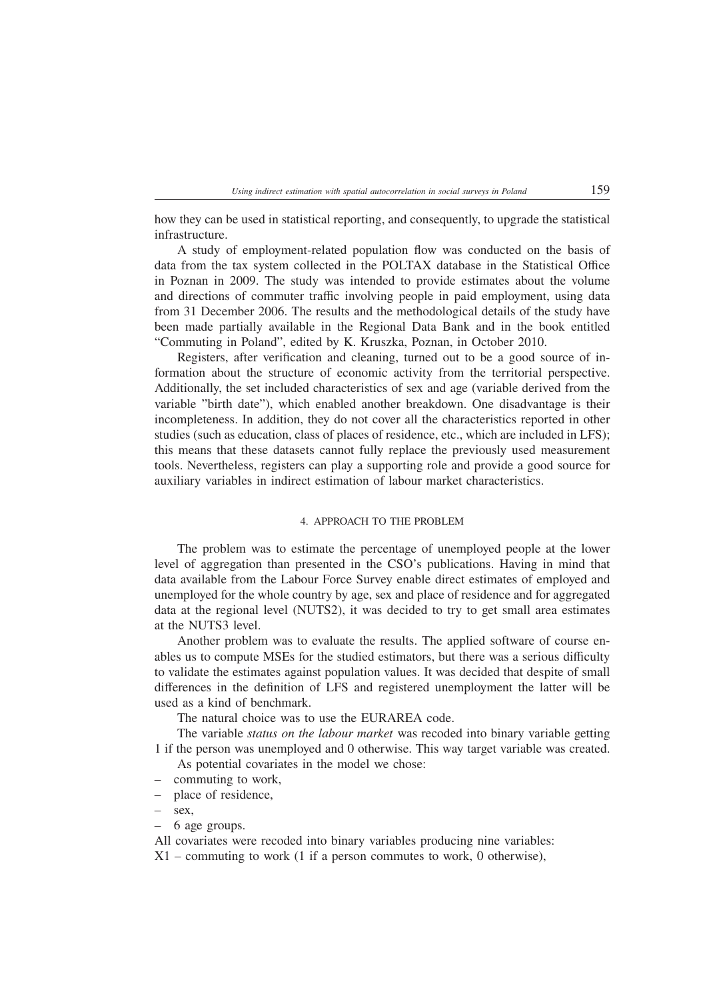how they can be used in statistical reporting, and consequently, to upgrade the statistical infrastructure.

A study of employment-related population flow was conducted on the basis of data from the tax system collected in the POLTAX database in the Statistical Office in Poznan in 2009. The study was intended to provide estimates about the volume and directions of commuter traffic involving people in paid employment, using data from 31 December 2006. The results and the methodological details of the study have been made partially available in the Regional Data Bank and in the book entitled "Commuting in Poland", edited by K. Kruszka, Poznan, in October 2010.

Registers, after verification and cleaning, turned out to be a good source of information about the structure of economic activity from the territorial perspective. Additionally, the set included characteristics of sex and age (variable derived from the variable "birth date"), which enabled another breakdown. One disadvantage is their incompleteness. In addition, they do not cover all the characteristics reported in other studies (such as education, class of places of residence, etc., which are included in LFS); this means that these datasets cannot fully replace the previously used measurement tools. Nevertheless, registers can play a supporting role and provide a good source for auxiliary variables in indirect estimation of labour market characteristics.

### 4. APPROACH TO THE PROBLEM

The problem was to estimate the percentage of unemployed people at the lower level of aggregation than presented in the CSO's publications. Having in mind that data available from the Labour Force Survey enable direct estimates of employed and unemployed for the whole country by age, sex and place of residence and for aggregated data at the regional level (NUTS2), it was decided to try to get small area estimates at the NUTS3 level.

Another problem was to evaluate the results. The applied software of course enables us to compute MSEs for the studied estimators, but there was a serious difficulty to validate the estimates against population values. It was decided that despite of small differences in the definition of LFS and registered unemployment the latter will be used as a kind of benchmark.

The natural choice was to use the EURAREA code.

The variable *status on the labour market* was recoded into binary variable getting 1 if the person was unemployed and 0 otherwise. This way target variable was created. As potential covariates in the model we chose:

- 
- commuting to work,
- place of residence,
- sex,
- 6 age groups.

All covariates were recoded into binary variables producing nine variables:

 $X1$  – commuting to work (1 if a person commutes to work, 0 otherwise),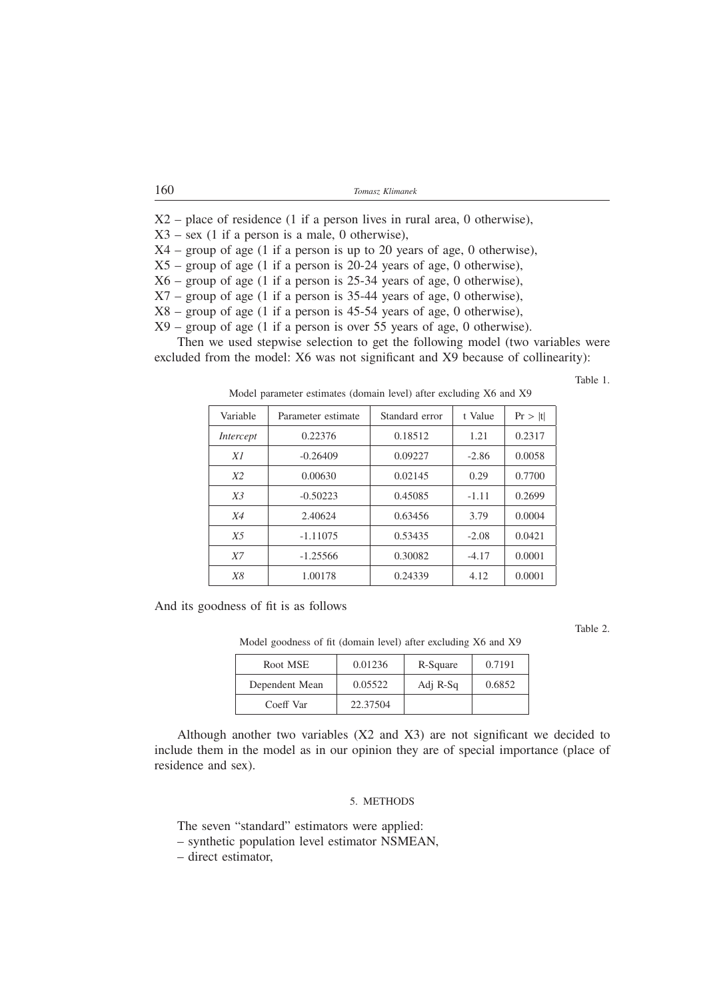| 160 | Tomasz Klimanek |
|-----|-----------------|
|-----|-----------------|

 $X2$  – place of residence (1 if a person lives in rural area, 0 otherwise),  $X3 - sex$  (1 if a person is a male, 0 otherwise), X4 – group of age (1 if a person is up to 20 years of age, 0 otherwise),  $X5$  – group of age (1 if a person is 20-24 years of age, 0 otherwise),  $X6$  – group of age (1 if a person is 25-34 years of age, 0 otherwise),  $X7$  – group of age (1 if a person is 35-44 years of age, 0 otherwise),  $X8$  – group of age (1 if a person is 45-54 years of age, 0 otherwise), X9 – group of age (1 if a person is over 55 years of age, 0 otherwise).

Then we used stepwise selection to get the following model (two variables were excluded from the model: X6 was not significant and X9 because of collinearity):

Table 1.

| Variable       | Parameter estimate | Standard error | t Value | Pr >  t |
|----------------|--------------------|----------------|---------|---------|
| Intercept      | 0.22376            | 0.18512        | 1.21    | 0.2317  |
| X1             | $-0.26409$         | 0.09227        | $-2.86$ | 0.0058  |
| X2             | 0.00630            | 0.02145        | 0.29    | 0.7700  |
| X <sub>3</sub> | $-0.50223$         | 0.45085        | $-1.11$ | 0.2699  |
| <i>X4</i>      | 2.40624            | 0.63456        | 3.79    | 0.0004  |
| X <sub>5</sub> | $-1.11075$         | 0.53435        | $-2.08$ | 0.0421  |
| X7             | $-1.25566$         | 0.30082        | $-4.17$ | 0.0001  |
| <i>X8</i>      | 1.00178            | 0.24339        | 4.12    | 0.0001  |

Model parameter estimates (domain level) after excluding X6 and X9

And its goodness of fit is as follows

Table 2.

Model goodness of fit (domain level) after excluding X6 and X9

| Root MSE       | 0.01236  | R-Square | 0.7191 |
|----------------|----------|----------|--------|
| Dependent Mean | 0.05522  | Adj R-Sq | 0.6852 |
| Coeff Var      | 22.37504 |          |        |

Although another two variables (X2 and X3) are not significant we decided to include them in the model as in our opinion they are of special importance (place of residence and sex).

### 5. METHODS

The seven "standard" estimators were applied:

– synthetic population level estimator NSMEAN,

– direct estimator,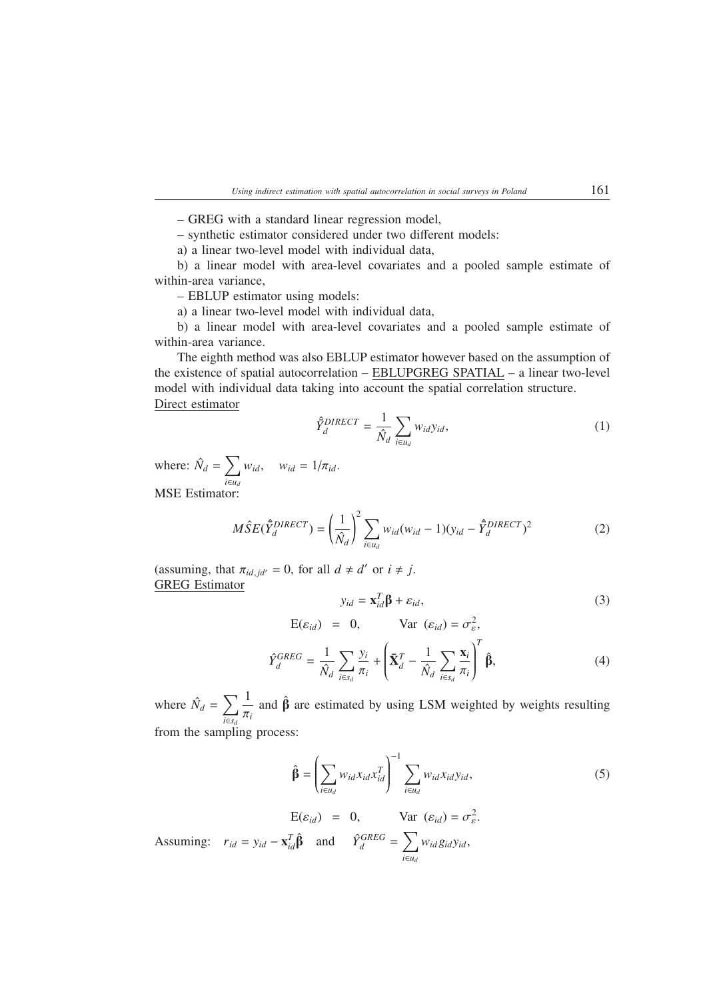– GREG with a standard linear regression model,

– synthetic estimator considered under two different models:

a) a linear two-level model with individual data,

b) a linear model with area-level covariates and a pooled sample estimate of within-area variance,

– EBLUP estimator using models:

a) a linear two-level model with individual data,

b) a linear model with area-level covariates and a pooled sample estimate of within-area variance.

The eighth method was also EBLUP estimator however based on the assumption of the existence of spatial autocorrelation – EBLUPGREG SPATIAL – a linear two-level model with individual data taking into account the spatial correlation structure. Direct estimator

$$
\hat{Y}_d^{DIRECT} = \frac{1}{\hat{N}_d} \sum_{i \in u_d} w_{id} y_{id},\tag{1}
$$

where:  $\hat{N}_d = \sum_{l}$ *i*∈*ud*  $w_{id}$ ,  $w_{id} = 1/\pi_{id}$ . MSE Estimator:

$$
M\hat{S}E(\hat{Y}_d^{DIRECT}) = \left(\frac{1}{\hat{N}_d}\right)^2 \sum_{i \in u_d} w_{id}(w_{id} - 1)(y_{id} - \hat{Y}_d^{DIRECT})^2
$$
 (2)

(assuming, that  $\pi_{id,jd'} = 0$ , for all  $d \neq d'$  or  $i \neq j$ . GREG Estimator

$$
y_{id} = \mathbf{x}_{id}^{T} \mathbf{\beta} + \varepsilon_{id},
$$
  
\n
$$
E(\varepsilon_{id}) = 0, \quad \text{Var} (\varepsilon_{id}) = \sigma_{\varepsilon}^{2},
$$
\n(3)

$$
\hat{Y}_d^{GREG} = \frac{1}{\hat{N}_d} \sum_{i \in s_d} \frac{y_i}{\pi_i} + \left(\bar{\mathbf{X}}_d^T - \frac{1}{\hat{N}_d} \sum_{i \in s_d} \frac{\mathbf{x}_i}{\pi_i}\right)^T \hat{\mathbf{\beta}},\tag{4}
$$

where  $\hat{N}_d = \sum \delta$ *i*∈*sd* 1 π*i* and  $\hat{\beta}$  are estimated by using LSM weighted by weights resulting from the sampling process:

$$
\hat{\beta} = \left(\sum_{i \in u_d} w_{id} x_{id} x_{id}^T\right)^{-1} \sum_{i \in u_d} w_{id} x_{id} y_{id},\tag{5}
$$

$$
E(\varepsilon_{id}) = 0, \quad Var (\varepsilon_{id}) = \sigma_{\varepsilon}^{2}.
$$
  
Assuming:  $r_{id} = y_{id} - \mathbf{x}_{id}^{T} \hat{\beta}$  and  $\hat{Y}_{d}^{GREG} = \sum_{i \in u_{d}} w_{id} g_{id} y_{id},$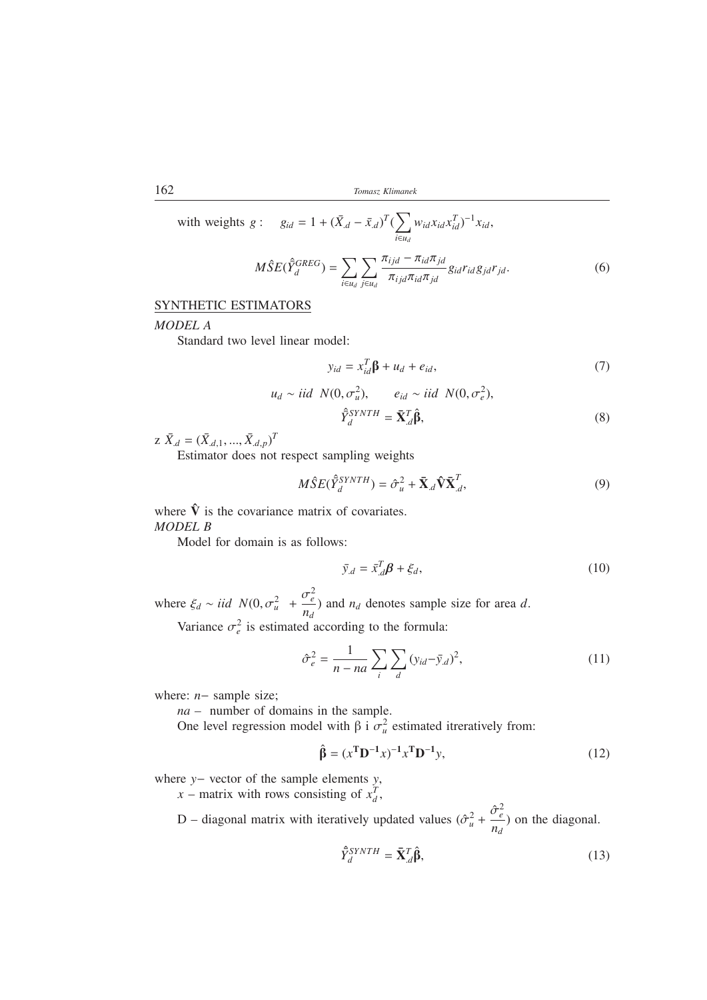162 *Tomasz Klimanek*

with weights 
$$
g: g_{id} = 1 + (\bar{X}_{d} - \bar{x}_{d})^{T} (\sum_{i \in u_{d}} w_{id} x_{id} x_{id}^{T})^{-1} x_{id},
$$
  

$$
M\hat{S}E(\hat{\Sigma}_{d}^{GREG}) = \sum_{i \in u_{d}} \sum_{j \in u_{d}} \frac{\pi_{ijd} - \pi_{id}\pi_{jd}}{\pi_{ijd}\pi_{id}\pi_{jd}} g_{id} r_{id} g_{jd} r_{jd}.
$$
(6)

## SYNTHETIC ESTIMATORS

### *MODEL A*

Standard two level linear model:

$$
y_{id} = x_{id}^T \beta + u_d + e_{id}, \qquad (7)
$$

$$
u_d \sim iid \ N(0, \sigma_u^2), \qquad e_{id} \sim iid \ N(0, \sigma_e^2),
$$
  

$$
\hat{Y}_d^{SYNTH} = \bar{\mathbf{X}}_d^T \hat{\boldsymbol{\beta}},
$$
 (8)

 $Z \bar{X}_{d} = (\bar{X}_{d,1}, ..., \bar{X}_{d,p})^{T}$ 

Estimator does not respect sampling weights

$$
M\hat{S}E(\hat{\bar{Y}}_{d}^{SYNTH}) = \hat{\sigma}_{u}^{2} + \bar{\mathbf{X}}_{d}\hat{\mathbf{V}}\bar{\mathbf{X}}_{d}^{T},
$$
\n(9)

where  $\hat{V}$  is the covariance matrix of covariates. *MODEL B*

Model for domain is as follows:

$$
\bar{y}_{d} = \bar{x}_{d}^{T} \beta + \xi_{d},\tag{10}
$$

where  $\xi_d \sim i i d \, N(0, \sigma_u^2$  +  $\sigma_e^2$  $\frac{\partial^2 e}{\partial n_d}$  and  $n_d$  denotes sample size for area *d*.

Variance  $\sigma_e^2$  is estimated according to the formula:

$$
\hat{\sigma}_e^2 = \frac{1}{n - na} \sum_i \sum_d (y_{id} - \bar{y}_{d})^2,\tag{11}
$$

where: *n*− sample size;

*na –* number of domains in the sample.

One level regression model with β i  $σ<sub>u</sub><sup>2</sup>$  estimated itreratively from:

$$
\hat{\beta} = (x^{\mathrm{T}} \mathbf{D}^{-1} x)^{-1} x^{\mathrm{T}} \mathbf{D}^{-1} y,\tag{12}
$$

where *y*− vector of the sample elements *y*,

*x* – matrix with rows consisting of  $x_d^T$ ,

D – diagonal matrix with iteratively updated values  $(\hat{\sigma}_u^2 +$  $\hat{\sigma}_e^2$  $\frac{\partial^2 e}{\partial n_d}$ ) on the diagonal.

$$
\hat{\Sigma}_d^{SYNTH} = \bar{\mathbf{X}}_d^T \hat{\boldsymbol{\beta}},\tag{13}
$$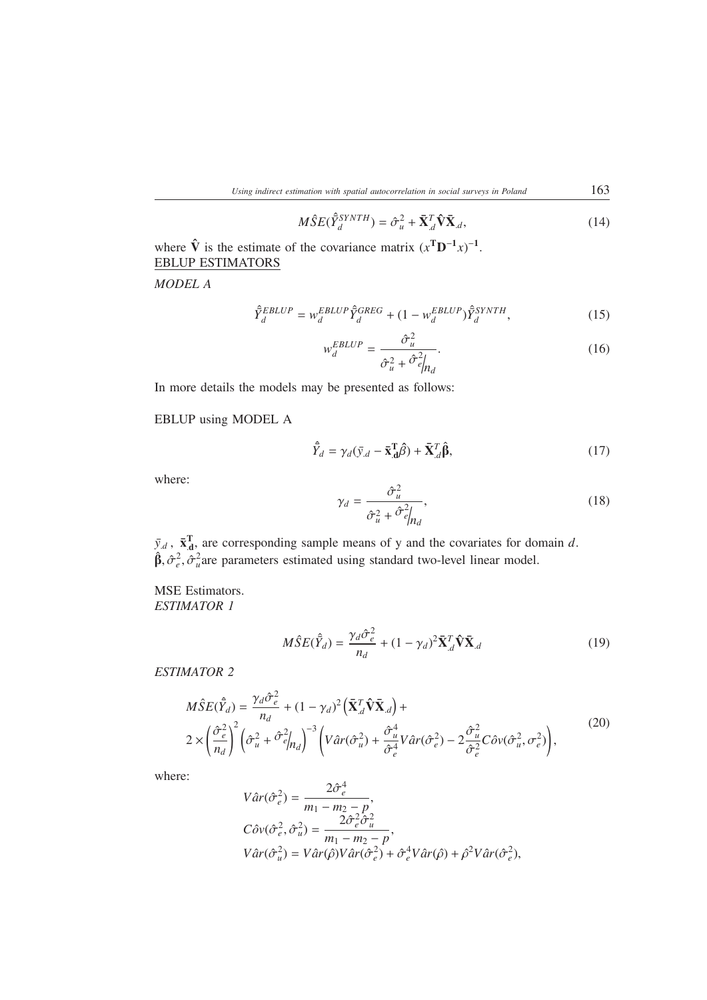$$
M\hat{S}E(\hat{Y}_d^{SYNTH}) = \hat{\sigma}_u^2 + \bar{\mathbf{X}}_d^T \hat{\mathbf{V}} \bar{\mathbf{X}}_d, \qquad (14)
$$

where  $\hat{\mathbf{V}}$  is the estimate of the covariance matrix  $(x^T \mathbf{D}^{-1} x)^{-1}$ . EBLUP ESTIMATORS

*MODEL A*

$$
\hat{\bar{Y}}_d^{EBLUP} = w_d^{EBLUP} \hat{\bar{Y}}_d^{GREG} + (1 - w_d^{EBLUP}) \hat{\bar{Y}}_d^{SYNTH},\tag{15}
$$

$$
w_d^{EBLUP} = \frac{\hat{\sigma}_u^2}{\hat{\sigma}_u^2 + \hat{\sigma}_{e}^2 |_{n_d}}.
$$
 (16)

In more details the models may be presented as follows:

EBLUP using MODEL A

$$
\hat{\bar{Y}}_d = \gamma_d (\bar{y}_{.d} - \bar{\mathbf{x}}_{.d}^{\mathrm{T}} \hat{\boldsymbol{\beta}}) + \bar{\mathbf{X}}_{.d}^{\mathrm{T}} \hat{\boldsymbol{\beta}},\tag{17}
$$

where:

$$
\gamma_d = \frac{\hat{\sigma}_u^2}{\hat{\sigma}_u^2 + \hat{\sigma}_{e}^2|_{n_d}},\tag{18}
$$

 $\bar{y}_d$ ,  $\bar{x}_d^T$ , are corresponding sample means of y and the covariates for domain *d*.  $\hat{\beta}, \hat{\sigma}_e^2, \hat{\sigma}_u^2$  are parameters estimated using standard two-level linear model.

MSE Estimators. *ESTIMATOR 1*

$$
M\hat{S}E(\hat{\bar{Y}}_d) = \frac{\gamma_d \hat{\sigma}_e^2}{n_d} + (1 - \gamma_d)^2 \bar{\mathbf{X}}_d^T \hat{\mathbf{V}} \bar{\mathbf{X}}_d
$$
(19)

*ESTIMATOR 2*

$$
M\hat{S}E(\hat{Y}_d) = \frac{\gamma_d \hat{\sigma}_e^2}{n_d} + (1 - \gamma_d)^2 \left(\bar{\mathbf{X}}_{d}^T \hat{\mathbf{V}} \bar{\mathbf{X}}_{d}\right) +
$$
  

$$
2 \times \left(\frac{\hat{\sigma}_e^2}{n_d}\right)^2 \left(\hat{\sigma}_u^2 + \hat{\sigma}_e^2\Big|_{n_d}\right)^{-3} \left(V\hat{a}r(\hat{\sigma}_u^2) + \frac{\hat{\sigma}_u^4}{\hat{\sigma}_e^4}V\hat{a}r(\hat{\sigma}_e^2) - 2\frac{\hat{\sigma}_u^2}{\hat{\sigma}_e^2}C\hat{\sigma}v(\hat{\sigma}_u^2, \sigma_e^2)\right),
$$
 (20)

where:

$$
\begin{aligned} V\hat{a}r(\hat{\sigma}_e^2) &= \frac{2\hat{\sigma}_e^4}{m_1 - m_2 - p}, \\ C\hat{\sigma}v(\hat{\sigma}_e^2, \hat{\sigma}_u^2) &= \frac{2\hat{\sigma}_e^2\hat{\sigma}_u^2}{m_1 - m_2 - p}, \\ V\hat{a}r(\hat{\sigma}_u^2) &= V\hat{a}r(\hat{\rho})V\hat{a}r(\hat{\sigma}_e^2) + \hat{\sigma}_e^4V\hat{a}r(\hat{\rho}) + \hat{\rho}^2V\hat{a}r(\hat{\sigma}_e^2), \end{aligned}
$$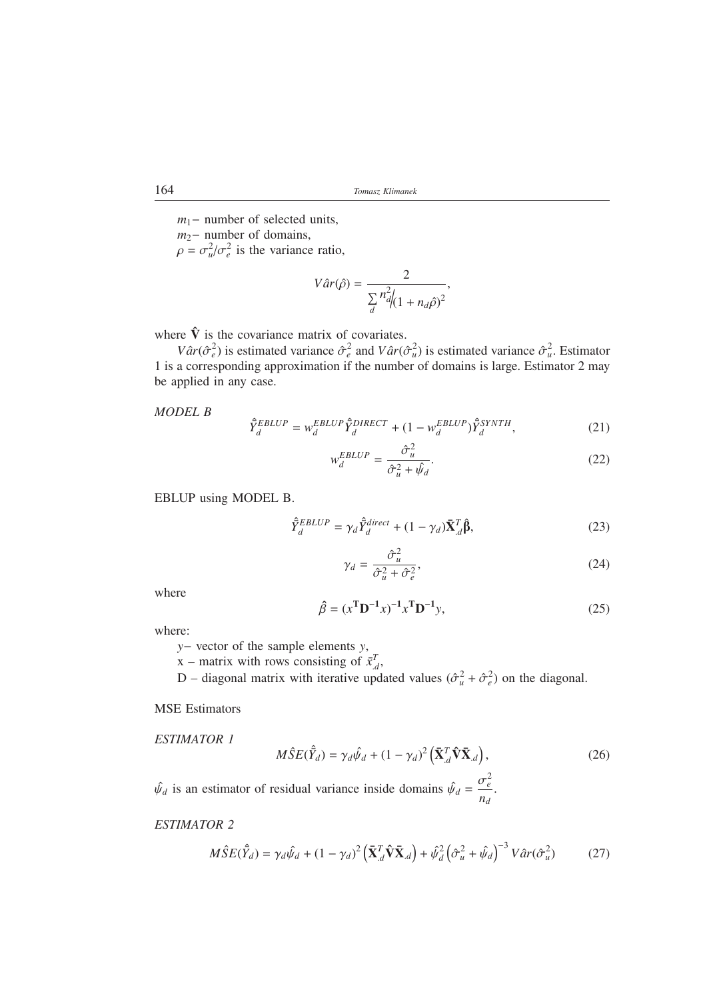*m*<sub>1</sub>− number of selected units,

*m*<sub>2</sub>− number of domains,

 $\rho = \sigma_u^2 / \sigma_e^2$  is the variance ratio,

$$
V\hat{a}r(\hat{\rho}) = \frac{2}{\sum_{d} n_{d}^{2} \left(1 + n_{d}\hat{\rho}\right)^{2}},
$$

where  $\hat{V}$  is the covariance matrix of covariates.

*Vâr*( $\hat{\sigma}_e^2$ ) is estimated variance  $\hat{\sigma}_e^2$  and *Vâr*( $\hat{\sigma}_u^2$ ) is estimated variance  $\hat{\sigma}_u^2$ . Estimator 1 is a corresponding approximation if the number of domains is large. Estimator 2 may be applied in any case.

*MODEL B*

$$
\hat{\bar{Y}}_d^{EBLUP} = w_d^{EBLUP} \hat{\bar{Y}}_d^{DIRECT} + (1 - w_d^{EBLUP}) \hat{\bar{Y}}_d^{SYNTH},\tag{21}
$$

$$
w_d^{EBLUP} = \frac{\hat{\sigma}_u^2}{\hat{\sigma}_u^2 + \hat{\psi}_d}.
$$
 (22)

EBLUP using MODEL B.

$$
\hat{\bar{Y}}_d^{EBLUP} = \gamma_d \hat{\bar{Y}}_d^{direct} + (1 - \gamma_d) \bar{\mathbf{X}}_d^T \hat{\boldsymbol{\beta}},\tag{23}
$$

$$
\gamma_d = \frac{\hat{\sigma}_u^2}{\hat{\sigma}_u^2 + \hat{\sigma}_e^2},\tag{24}
$$

where

$$
\hat{\beta} = (x^{\mathbf{T}} \mathbf{D}^{-1} x)^{-1} x^{\mathbf{T}} \mathbf{D}^{-1} y,\tag{25}
$$

where:

*y*− vector of the sample elements *y*,

x – matrix with rows consisting of  $\bar{x}_d^T$ ,

D – diagonal matrix with iterative updated values  $(\hat{\sigma}_u^2 + \hat{\sigma}_e^2)$  on the diagonal.

MSE Estimators

ESTIMATOR 1  

$$
M\hat{S}E(\hat{Y}_d) = \gamma_d \hat{\psi}_d + (1 - \gamma_d)^2 \left(\bar{\mathbf{X}}_{d}^T \hat{\mathbf{V}} \bar{\mathbf{X}}_{d}\right),
$$
(26)

 $\hat{\psi}_d$  is an estimator of residual variance inside domains  $\hat{\psi}_d = \frac{\sigma_e^2}{g}$  $\frac{e}{n_d}$ .

# *ESTIMATOR 2*

$$
M\hat{S}E(\hat{Y}_d) = \gamma_d\hat{\psi}_d + (1 - \gamma_d)^2 \left(\bar{\mathbf{X}}_d^T \hat{\mathbf{V}} \bar{\mathbf{X}}_d\right) + \hat{\psi}_d^2 \left(\hat{\sigma}_u^2 + \hat{\psi}_d\right)^{-3} V \hat{a}r(\hat{\sigma}_u^2)
$$
(27)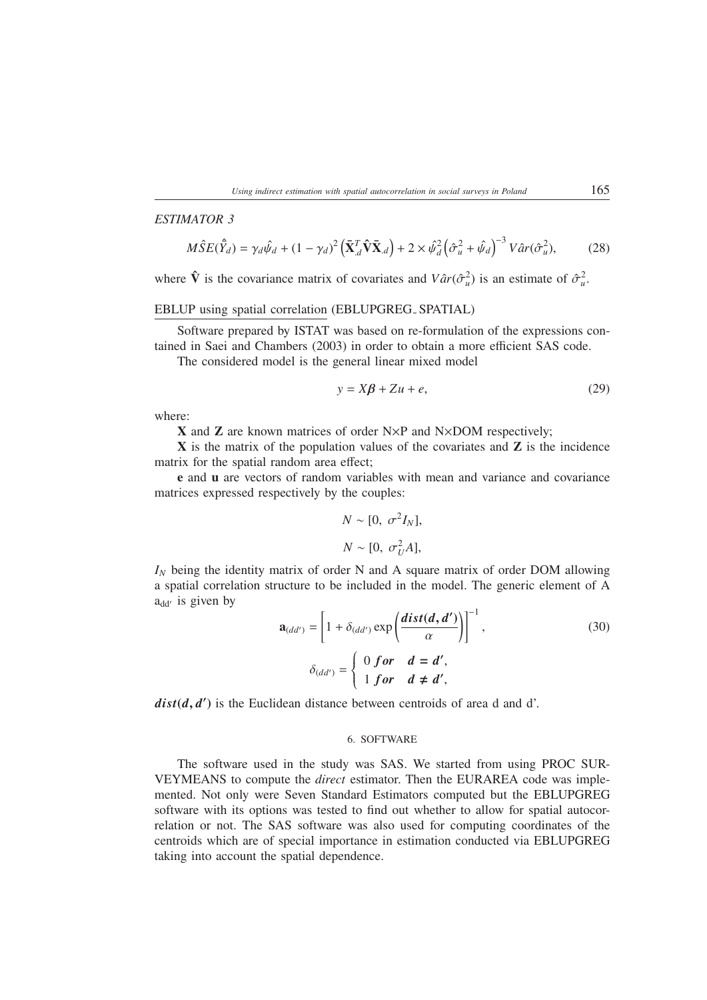## *ESTIMATOR 3*

$$
M\hat{S}E(\hat{Y}_d) = \gamma_d\hat{\psi}_d + (1 - \gamma_d)^2 \left(\bar{\mathbf{X}}_d^T \hat{\mathbf{V}} \bar{\mathbf{X}}_d\right) + 2 \times \hat{\psi}_d^2 \left(\hat{\sigma}_u^2 + \hat{\psi}_d\right)^{-3} V \hat{a}r(\hat{\sigma}_u^2),\tag{28}
$$

where  $\hat{\mathbf{V}}$  is the covariance matrix of covariates and  $V \hat{a} r(\hat{\sigma}_u^2)$  is an estimate of  $\hat{\sigma}_u^2$ .

### EBLUP using spatial correlation (EBLUPGREG SPATIAL)

Software prepared by ISTAT was based on re-formulation of the expressions contained in Saei and Chambers (2003) in order to obtain a more efficient SAS code.

The considered model is the general linear mixed model

$$
y = X\beta + Zu + e,\tag{29}
$$

where:

**<sup>X</sup>** and **<sup>Z</sup>** are known matrices of order N×P and N×DOM respectively;

**X** is the matrix of the population values of the covariates and **Z** is the incidence matrix for the spatial random area effect;

**e** and **u** are vectors of random variables with mean and variance and covariance matrices expressed respectively by the couples:

$$
N \sim [0, \sigma^2 I_N],
$$
  

$$
N \sim [0, \sigma_U^2 A],
$$

*I<sub>N</sub>* being the identity matrix of order N and A square matrix of order DOM allowing a spatial correlation structure to be included in the model. The generic element of A  $a_{dd'}$  is given by

$$
\mathbf{a}_{(dd')} = \left[1 + \delta_{(dd')} \exp\left(\frac{dist(d, d')}{\alpha}\right)\right]^{-1},\tag{30}
$$
\n
$$
\delta_{(dd')} = \begin{cases}\n0 \text{ for } d = d', \\
1 \text{ for } d \neq d',\n\end{cases}
$$

 $dist(d, d')$  is the Euclidean distance between centroids of area d and d'.

#### 6. SOFTWARE

The software used in the study was SAS. We started from using PROC SUR-VEYMEANS to compute the *direct* estimator. Then the EURAREA code was implemented. Not only were Seven Standard Estimators computed but the EBLUPGREG software with its options was tested to find out whether to allow for spatial autocorrelation or not. The SAS software was also used for computing coordinates of the centroids which are of special importance in estimation conducted via EBLUPGREG taking into account the spatial dependence.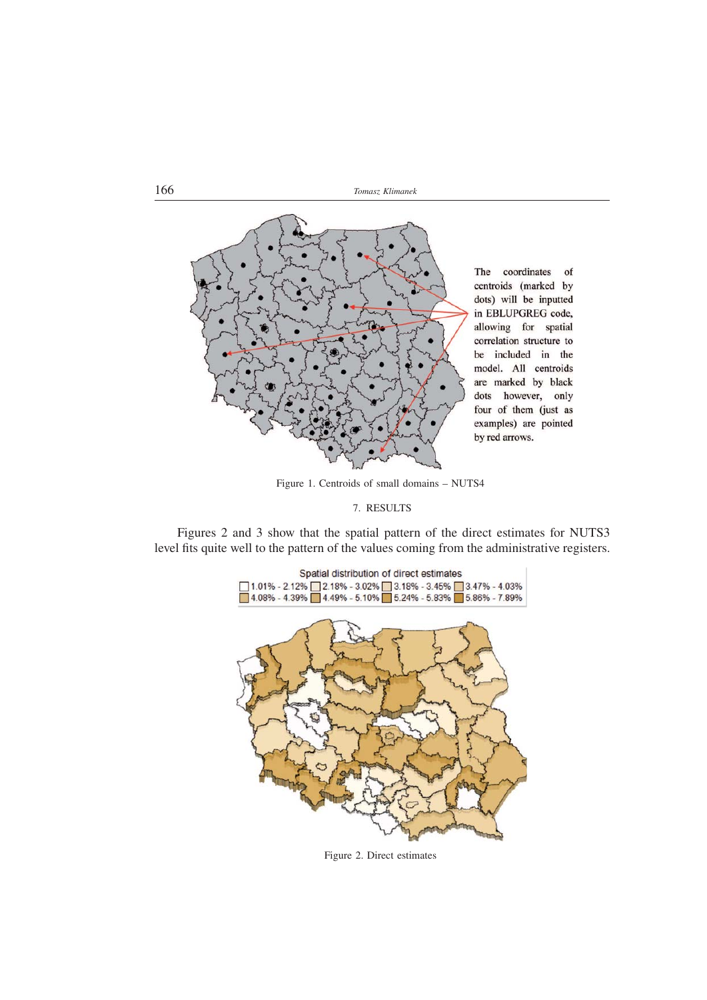166 *Tomasz Klimanek*



Figure 1. Centroids of small domains – NUTS4

7. RESULTS

Figures 2 and 3 show that the spatial pattern of the direct estimates for NUTS3 level fits quite well to the pattern of the values coming from the administrative registers.



Figure 2. Direct estimates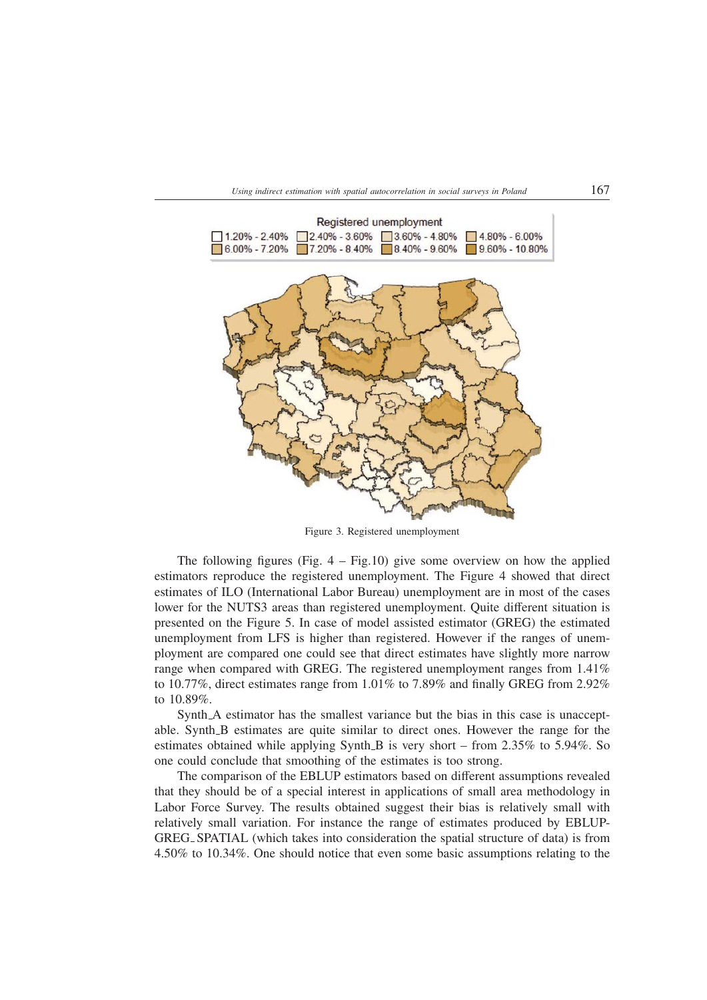

Figure 3. Registered unemployment

The following figures (Fig.  $4 - Fig.10$ ) give some overview on how the applied estimators reproduce the registered unemployment. The Figure 4 showed that direct estimates of ILO (International Labor Bureau) unemployment are in most of the cases lower for the NUTS3 areas than registered unemployment. Quite different situation is presented on the Figure 5. In case of model assisted estimator (GREG) the estimated unemployment from LFS is higher than registered. However if the ranges of unemployment are compared one could see that direct estimates have slightly more narrow range when compared with GREG. The registered unemployment ranges from 1.41% to 10.77%, direct estimates range from 1.01% to 7.89% and finally GREG from 2.92% to 10.89%.

Synth A estimator has the smallest variance but the bias in this case is unacceptable. Synth B estimates are quite similar to direct ones. However the range for the estimates obtained while applying Synth B is very short – from 2.35% to 5.94%. So one could conclude that smoothing of the estimates is too strong.

The comparison of the EBLUP estimators based on different assumptions revealed that they should be of a special interest in applications of small area methodology in Labor Force Survey. The results obtained suggest their bias is relatively small with relatively small variation. For instance the range of estimates produced by EBLUP-GREG SPATIAL (which takes into consideration the spatial structure of data) is from 4.50% to 10.34%. One should notice that even some basic assumptions relating to the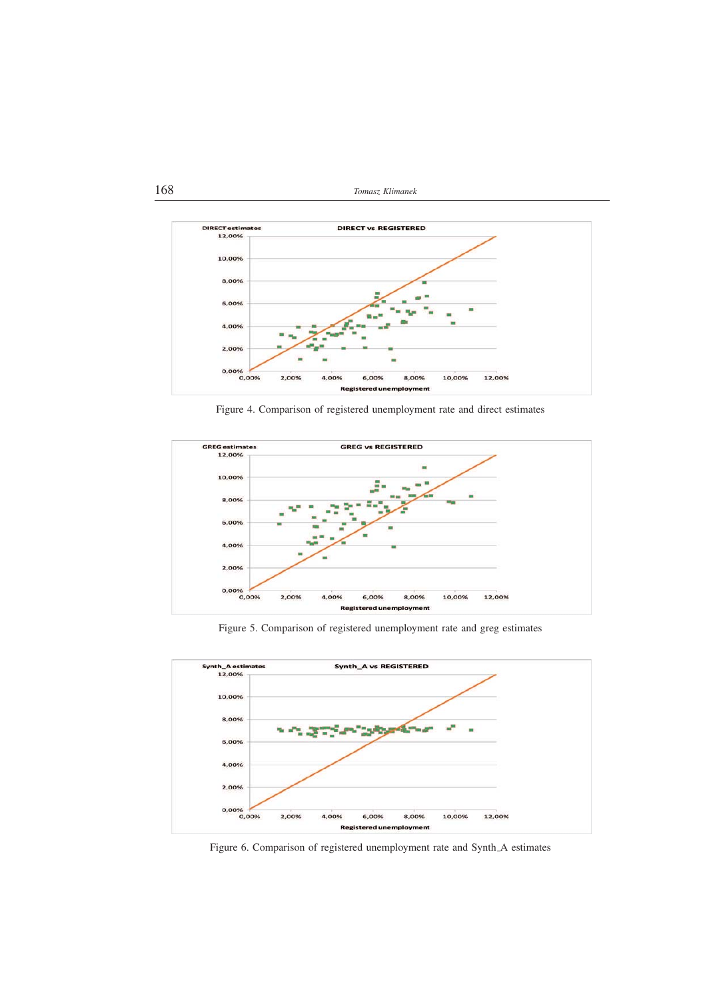168 *Tomasz Klimanek*



Figure 4. Comparison of registered unemployment rate and direct estimates



Figure 5. Comparison of registered unemployment rate and greg estimates



Figure 6. Comparison of registered unemployment rate and Synth A estimates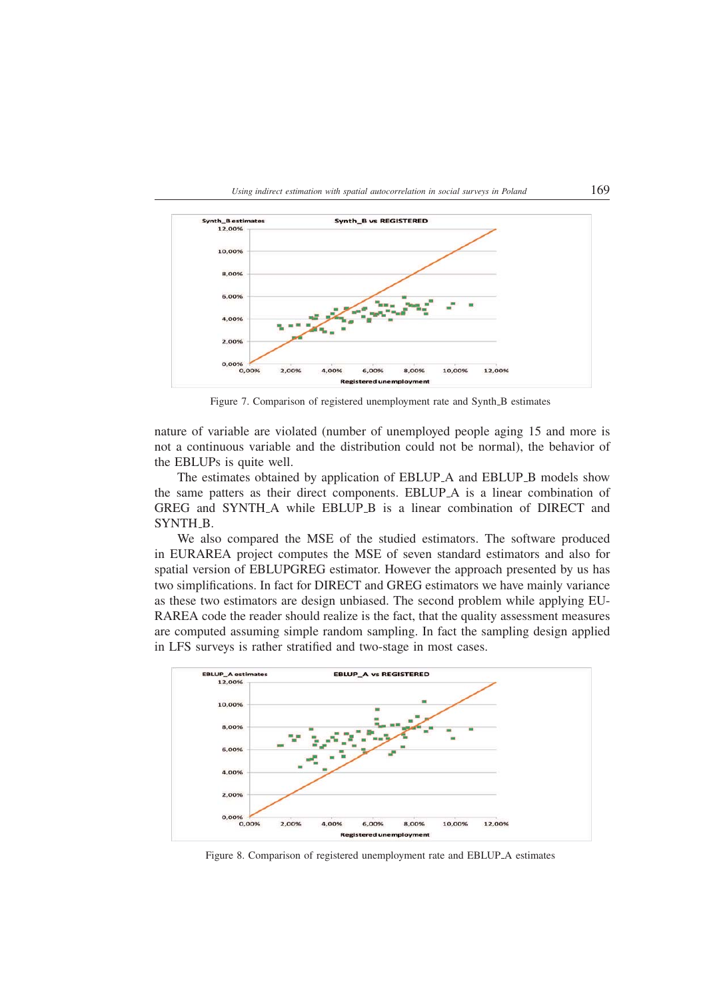

Figure 7. Comparison of registered unemployment rate and Synth B estimates

nature of variable are violated (number of unemployed people aging 15 and more is not a continuous variable and the distribution could not be normal), the behavior of the EBLUPs is quite well.

The estimates obtained by application of EBLUP\_A and EBLUP\_B models show the same patters as their direct components. EBLUP A is a linear combination of GREG and SYNTH\_A while EBLUP\_B is a linear combination of DIRECT and SYNTH\_B.

We also compared the MSE of the studied estimators. The software produced in EURAREA project computes the MSE of seven standard estimators and also for spatial version of EBLUPGREG estimator. However the approach presented by us has two simplifications. In fact for DIRECT and GREG estimators we have mainly variance as these two estimators are design unbiased. The second problem while applying EU-RAREA code the reader should realize is the fact, that the quality assessment measures are computed assuming simple random sampling. In fact the sampling design applied in LFS surveys is rather stratified and two-stage in most cases.



Figure 8. Comparison of registered unemployment rate and EBLUP A estimates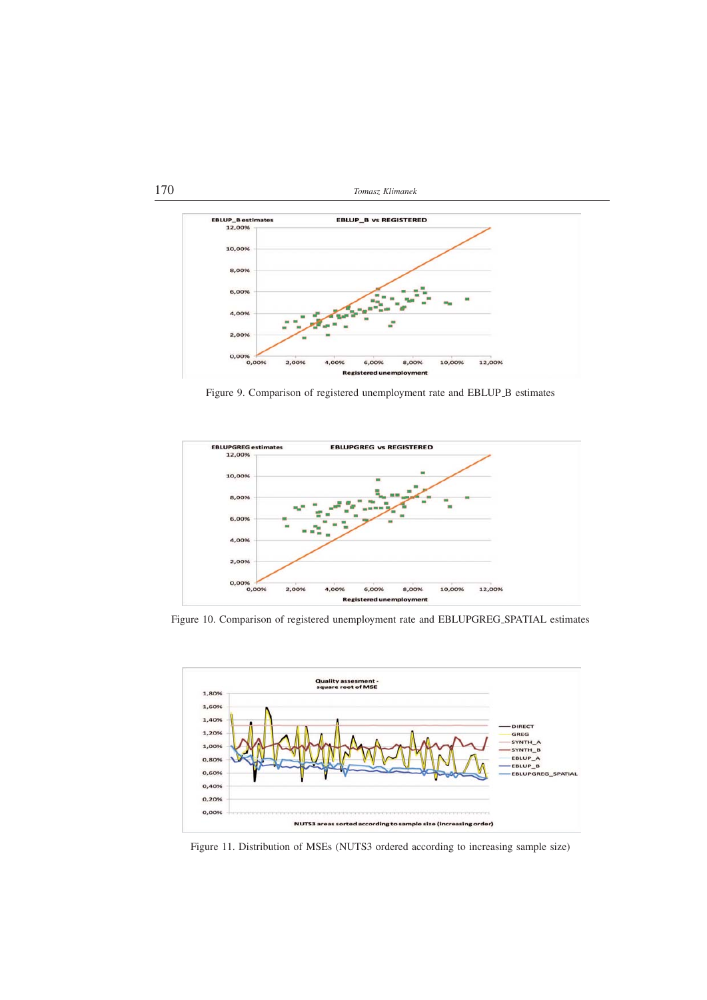

Figure 9. Comparison of registered unemployment rate and EBLUP B estimates



Figure 10. Comparison of registered unemployment rate and EBLUPGREG SPATIAL estimates



Figure 11. Distribution of MSEs (NUTS3 ordered according to increasing sample size)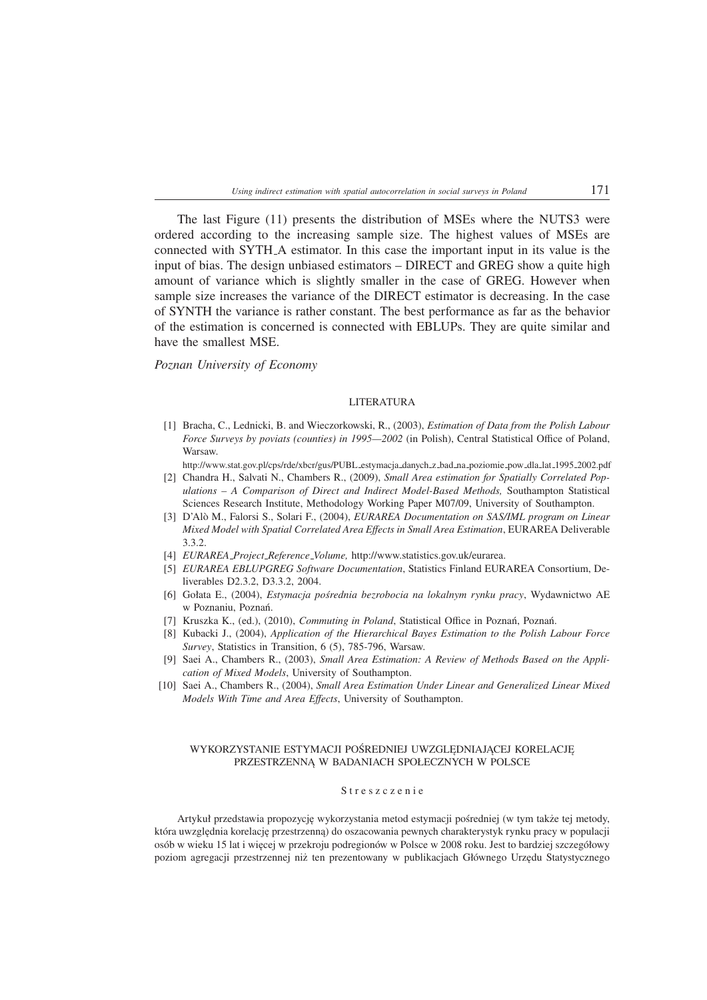The last Figure (11) presents the distribution of MSEs where the NUTS3 were ordered according to the increasing sample size. The highest values of MSEs are connected with SYTH A estimator. In this case the important input in its value is the input of bias. The design unbiased estimators – DIRECT and GREG show a quite high amount of variance which is slightly smaller in the case of GREG. However when sample size increases the variance of the DIRECT estimator is decreasing. In the case of SYNTH the variance is rather constant. The best performance as far as the behavior of the estimation is concerned is connected with EBLUPs. They are quite similar and have the smallest MSE.

#### *Poznan University of Economy*

#### LITER ATLIR A

- [1] Bracha, C., Lednicki, B. and Wieczorkowski, R., (2003), *Estimation of Data from the Polish Labour Force Surveys by poviats (counties) in 1995—2002* (in Polish), Central Statistical Office of Poland, Warsaw.
- http://www.stat.gov.pl/cps/rde/xbcr/gus/PUBL estymacja danych z bad na poziomie pow dla lat 1995 2002.pdf [2] Chandra H., Salvati N., Chambers R., (2009), *Small Area estimation for Spatially Correlated Pop-*
- *ulations A Comparison of Direct and Indirect Model-Based Methods,* Southampton Statistical Sciences Research Institute, Methodology Working Paper M07/09, University of Southampton.
- [3] D'Alo M., Falorsi S., Solari F., (2004), ` *EURAREA Documentation on SAS/IML program on Linear Mixed Model with Spatial Correlated Area Effects in Small Area Estimation*, EURAREA Deliverable 3.3.2
- [4] *EURAREA Project Reference Volume,* http://www.statistics.gov.uk/eurarea.
- [5] *EURAREA EBLUPGREG Software Documentation*, Statistics Finland EURAREA Consortium, Deliverables D2.3.2, D3.3.2, 2004.
- [6] Gołata E., (2004), *Estymacja pośrednia bezrobocia na lokalnym rynku pracy*, Wydawnictwo AE w Poznaniu, Poznań.
- [7] Kruszka K., (ed.), (2010), *Commuting in Poland*, Statistical Office in Poznań, Poznań.
- [8] Kubacki J., (2004), *Application of the Hierarchical Bayes Estimation to the Polish Labour Force Survey*, Statistics in Transition, 6 (5), 785-796, Warsaw.
- [9] Saei A., Chambers R., (2003), *Small Area Estimation: A Review of Methods Based on the Application of Mixed Models*, University of Southampton.
- [10] Saei A., Chambers R., (2004), *Small Area Estimation Under Linear and Generalized Linear Mixed Models With Time and Area Effects*, University of Southampton.

### WYKORZYSTANIE ESTYMACJI POŚREDNIEJ UWZGLĘDNIAJĄCEJ KORELACJĘ PRZESTRZENNĄ W BADANIACH SPOŁECZNYCH W POLSCE

#### Streszczenie

Artykuł przedstawia propozycję wykorzystania metod estymacji pośredniej (w tym także tej metody, która uwzględnia korelację przestrzenną) do oszacowania pewnych charakterystyk rynku pracy w populacji osób w wieku 15 lat i więcej w przekroju podregionów w Polsce w 2008 roku. Jest to bardziej szczegółowy poziom agregacji przestrzennej niż ten prezentowany w publikacjach Głównego Urzędu Statystycznego